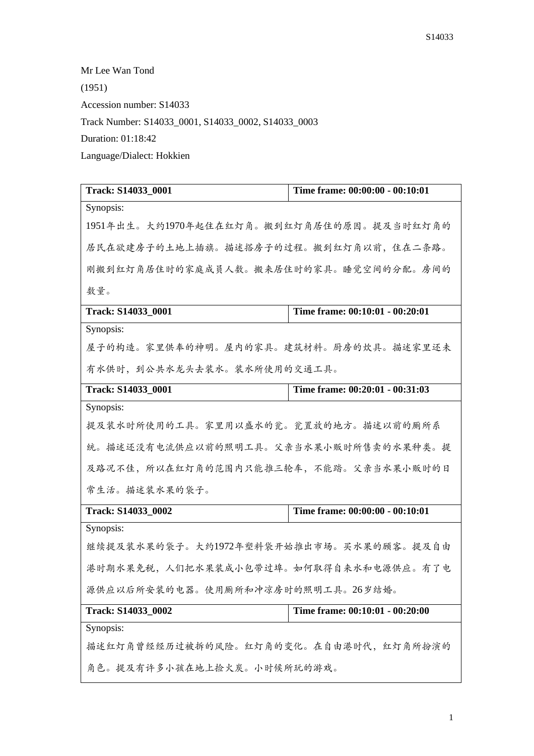Mr Lee Wan Tond (1951) Accession number: S14033 Track Number: S14033\_0001, S14033\_0002, S14033\_0003 Duration: 01:18:42 Language/Dialect: Hokkien

| Track: S14033_0001                        | Time frame: 00:00:00 - 00:10:01 |  |
|-------------------------------------------|---------------------------------|--|
| Synopsis:                                 |                                 |  |
| 1951年出生。大约1970年起住在红灯角。搬到红灯角居住的原因。提及当时红灯角的 |                                 |  |
| 居民在欲建房子的土地上插旗。描述搭房子的过程。搬到红灯角以前,住在二条路。     |                                 |  |
| 刚搬到红灯角居住时的家庭成员人数。搬来居住时的家具。睡觉空间的分配。房间的     |                                 |  |
| 教量。                                       |                                 |  |
| Track: S14033 0001                        | Time frame: 00:10:01 - 00:20:01 |  |
| Synopsis:                                 |                                 |  |
| 屋子的构造。家里供奉的神明。屋内的家具。建筑材料。厨房的炊具。描述家里还未     |                                 |  |
| 有水供时,到公共水龙头去装水。装水所使用的交通工具。                |                                 |  |
| Track: S14033_0001                        | Time frame: 00:20:01 - 00:31:03 |  |
| Synopsis:                                 |                                 |  |
| 提及装水时所使用的工具。家里用以盛水的瓮。瓮置放的地方。描述以前的厕所系      |                                 |  |
| 统。描述还没有电流供应以前的照明工具。父亲当水果小贩时所售卖的水果种类。提     |                                 |  |
| 及路况不佳,所以在红灯角的范围内只能推三轮车,不能踏。父亲当水果小贩时的日     |                                 |  |
| 常生活。描述装水果的袋子。                             |                                 |  |
| Track: S14033_0002                        | Time frame: 00:00:00 - 00:10:01 |  |
| Synopsis:                                 |                                 |  |
| 继续提及装水果的袋子。大约1972年塑料袋开始推出市场。买水果的顾客。提及自由   |                                 |  |
| 港时期水果免税,人们把水果装成小包带过埠。如何取得自来水和电源供应。有了电     |                                 |  |
| 源供应以后所安装的电器。使用厕所和冲凉房时的照明工具。26岁结婚。         |                                 |  |
| Track: S14033_0002                        | Time frame: 00:10:01 - 00:20:00 |  |
| Synopsis:                                 |                                 |  |
| 描述红灯角曾经经历过被拆的风险。红灯角的变化。在自由港时代,红灯角所扮演的     |                                 |  |
| 角色。提及有许多小孩在地上捡火炭。小时候所玩的游戏。                |                                 |  |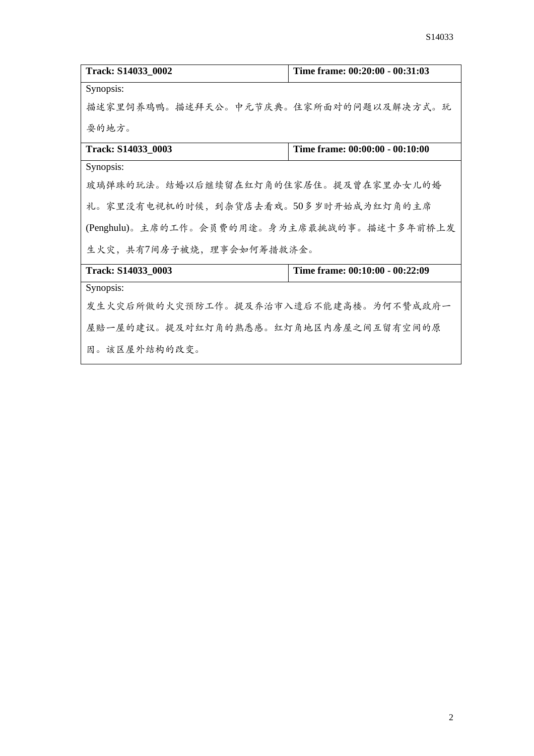| Track: S14033_0002                          | Time frame: 00:20:00 - 00:31:03 |  |
|---------------------------------------------|---------------------------------|--|
| Synopsis:                                   |                                 |  |
| 描述家里饲养鸡鸭。描述拜天公。中元节庆典。住家所面对的问题以及解决方式。玩       |                                 |  |
| 耍的地方。                                       |                                 |  |
| Track: S14033_0003                          | Time frame: 00:00:00 - 00:10:00 |  |
| Synopsis:                                   |                                 |  |
| 玻璃弹珠的玩法。结婚以后继续留在红灯角的住家居住。提及曾在家里办女儿的婚        |                                 |  |
| 礼。家里没有电视机的时候,到杂货店去看戏。50多岁时开始成为红灯角的主席        |                                 |  |
| (Penghulu)。主席的工作。会员费的用途。身为主席最挑战的事。描述十多年前桥上发 |                                 |  |
| 生火灾,共有7间房子被烧,理事会如何筹措救济金。                    |                                 |  |
| Track: S14033_0003                          | Time frame: 00:10:00 - 00:22:09 |  |
| Synopsis:                                   |                                 |  |
| 发生火灾后所做的火灾预防工作。提及乔治市入遗后不能建高楼。为何不赞成政府一       |                                 |  |
| 屋赔一屋的建议。提及对红灯角的熟悉感。红灯角地区内房屋之间互留有空间的原        |                                 |  |
| 因。该区屋外结构的改变。                                |                                 |  |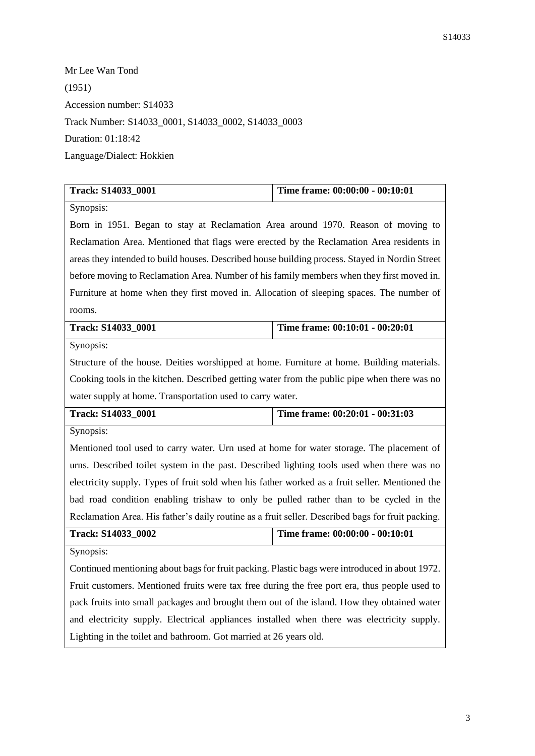Mr Lee Wan Tond (1951) Accession number: S14033 Track Number: S14033\_0001, S14033\_0002, S14033\_0003 Duration: 01:18:42 Language/Dialect: Hokkien

| Track: S14033_0001                                                                                | Time frame: 00:00:00 - 00:10:01 |  |
|---------------------------------------------------------------------------------------------------|---------------------------------|--|
| Synopsis:                                                                                         |                                 |  |
| Born in 1951. Began to stay at Reclamation Area around 1970. Reason of moving to                  |                                 |  |
| Reclamation Area. Mentioned that flags were erected by the Reclamation Area residents in          |                                 |  |
| areas they intended to build houses. Described house building process. Stayed in Nordin Street    |                                 |  |
| before moving to Reclamation Area. Number of his family members when they first moved in.         |                                 |  |
| Furniture at home when they first moved in. Allocation of sleeping spaces. The number of          |                                 |  |
| rooms.                                                                                            |                                 |  |
| Track: S14033_0001                                                                                | Time frame: 00:10:01 - 00:20:01 |  |
| Synopsis:                                                                                         |                                 |  |
| Structure of the house. Deities worshipped at home. Furniture at home. Building materials.        |                                 |  |
| Cooking tools in the kitchen. Described getting water from the public pipe when there was no      |                                 |  |
| water supply at home. Transportation used to carry water.                                         |                                 |  |
| Track: S14033_0001                                                                                | Time frame: 00:20:01 - 00:31:03 |  |
| Synopsis:                                                                                         |                                 |  |
| Mentioned tool used to carry water. Urn used at home for water storage. The placement of          |                                 |  |
| urns. Described toilet system in the past. Described lighting tools used when there was no        |                                 |  |
| electricity supply. Types of fruit sold when his father worked as a fruit seller. Mentioned the   |                                 |  |
| bad road condition enabling trishaw to only be pulled rather than to be cycled in the             |                                 |  |
| Reclamation Area. His father's daily routine as a fruit seller. Described bags for fruit packing. |                                 |  |
| Track: S14033_0002                                                                                | Time frame: 00:00:00 - 00:10:01 |  |
| Synopsis:                                                                                         |                                 |  |
| Continued mentioning about bags for fruit packing. Plastic bags were introduced in about 1972.    |                                 |  |
| Fruit customers. Mentioned fruits were tax free during the free port era, thus people used to     |                                 |  |
| pack fruits into small packages and brought them out of the island. How they obtained water       |                                 |  |
| and electricity supply. Electrical appliances installed when there was electricity supply.        |                                 |  |
| Lighting in the toilet and bathroom. Got married at 26 years old.                                 |                                 |  |